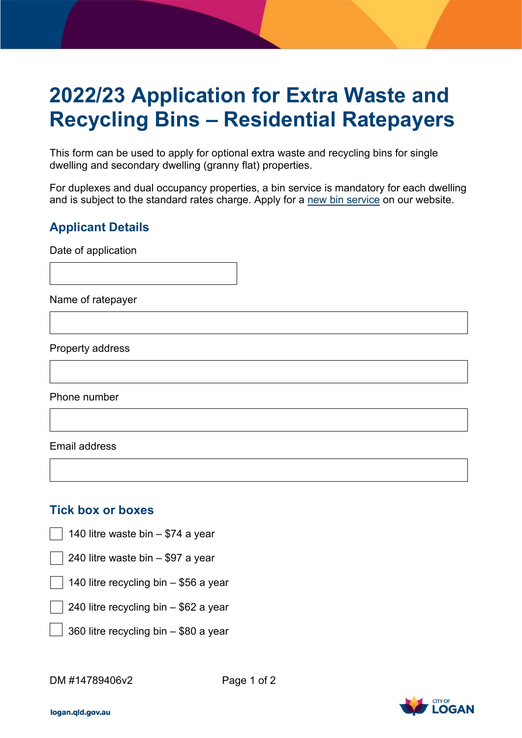## **2022/23 Application for Extra Waste and Recycling Bins – Residential Ratepayers**

This form can be used to apply for optional extra waste and recycling bins for single dwelling and secondary dwelling (granny flat) properties.

For duplexes and dual occupancy properties, a bin service is mandatory for each dwelling and is subject to the standard rates charge. Apply for a [new bin service](https://www.logan.qld.gov.au/order-new-bins) on our website.

## **Applicant Details**

Date of application

Name of ratepayer

Property address

Phone number

Email address

## **Tick box or boxes**

- 140 litre waste bin \$74 a year
- 240 litre waste bin \$97 a year
- 140 litre recycling bin \$56 a year

240 litre recycling bin – \$62 a year

360 litre recycling bin – \$80 a year